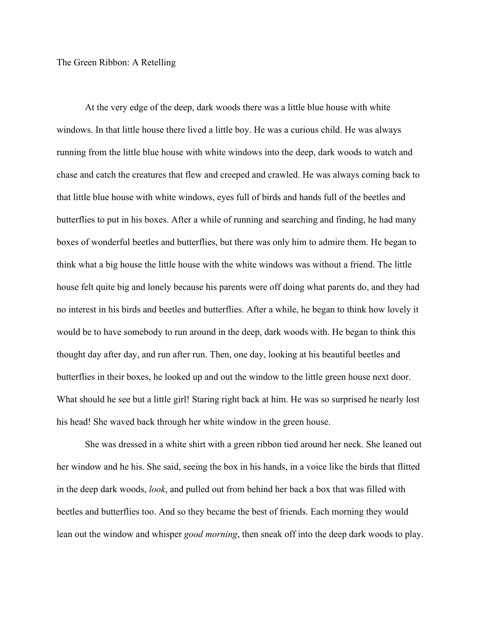## The Green Ribbon: A Retelling

At the very edge of the deep, dark woods there was a little blue house with white windows. In that little house there lived a little boy. He was a curious child. He was always running from the little blue house with white windows into the deep, dark woods to watch and chase and catch the creatures that flew and creeped and crawled. He was always coming back to that little blue house with white windows, eyes full of birds and hands full of the beetles and butterflies to put in his boxes. After a while of running and searching and finding, he had many boxes of wonderful beetles and butterflies, but there was only him to admire them. He began to think what a big house the little house with the white windows was without a friend. The little house felt quite big and lonely because his parents were off doing what parents do, and they had no interest in his birds and beetles and butterflies. After a while, he began to think how lovely it would be to have somebody to run around in the deep, dark woods with. He began to think this thought day after day, and run after run. Then, one day, looking at his beautiful beetles and butterflies in their boxes, he looked up and out the window to the little green house next door. What should he see but a little girl! Staring right back at him. He was so surprised he nearly lost his head! She waved back through her white window in the green house.

She was dressed in a white shirt with a green ribbon tied around her neck. She leaned out her window and he his. She said, seeing the box in his hands, in a voice like the birds that flitted in the deep dark woods, *look*, and pulled out from behind her back a box that was filled with beetles and butterflies too. And so they became the best of friends. Each morning they would lean out the window and whisper *good morning*, then sneak off into the deep dark woods to play.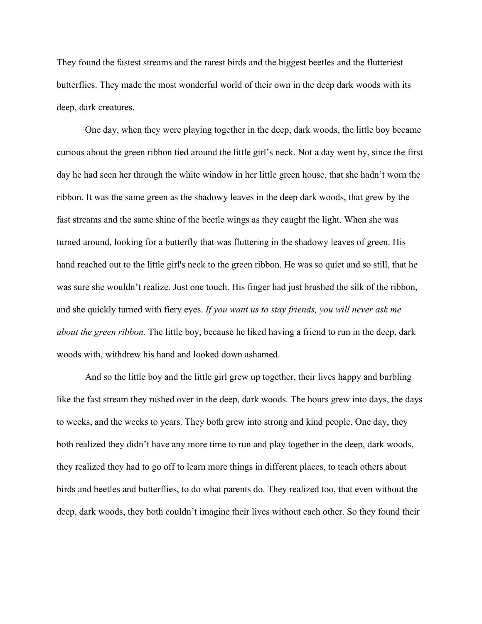They found the fastest streams and the rarest birds and the biggest beetles and the flutteriest butterflies. They made the most wonderful world of their own in the deep dark woods with its deep, dark creatures.

One day, when they were playing together in the deep, dark woods, the little boy became curious about the green ribbon tied around the little girl's neck. Not a day went by, since the first day he had seen her through the white window in her little green house, that she hadn't worn the ribbon. It was the same green as the shadowy leaves in the deep dark woods, that grew by the fast streams and the same shine of the beetle wings as they caught the light. When she was turned around, looking for a butterfly that was fluttering in the shadowy leaves of green. His hand reached out to the little girl's neck to the green ribbon. He was so quiet and so still, that he was sure she wouldn't realize. Just one touch. His finger had just brushed the silk of the ribbon, and she quickly turned with fiery eyes. *If you want us to stay friends, you will never ask me about the green ribbon.* The little boy, because he liked having a friend to run in the deep, dark woods with, withdrew his hand and looked down ashamed.

And so the little boy and the little girl grew up together, their lives happy and burbling like the fast stream they rushed over in the deep, dark woods. The hours grew into days, the days to weeks, and the weeks to years. They both grew into strong and kind people. One day, they both realized they didn't have any more time to run and play together in the deep, dark woods, they realized they had to go off to learn more things in different places, to teach others about birds and beetles and butterflies, to do what parents do. They realized too, that even without the deep, dark woods, they both couldn't imagine their lives without each other. So they found their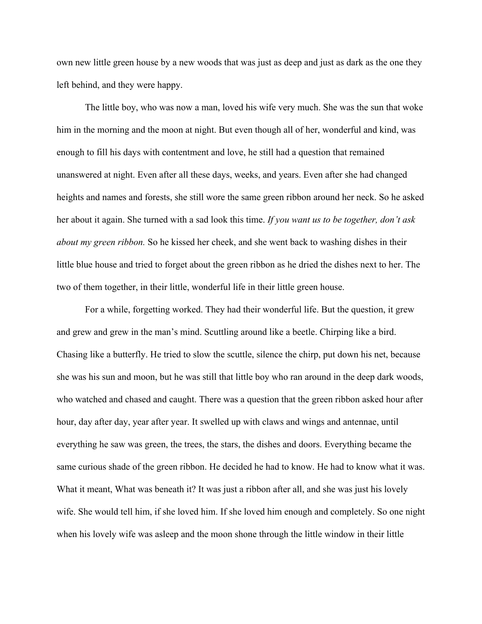own new little green house by a new woods that was just as deep and just as dark as the one they left behind, and they were happy.

The little boy, who was now a man, loved his wife very much. She was the sun that woke him in the morning and the moon at night. But even though all of her, wonderful and kind, was enough to fill his days with contentment and love, he still had a question that remained unanswered at night. Even after all these days, weeks, and years. Even after she had changed heights and names and forests, she still wore the same green ribbon around her neck. So he asked her about it again. She turned with a sad look this time. *If you want us to be together, don't ask about my green ribbon.* So he kissed her cheek, and she went back to washing dishes in their little blue house and tried to forget about the green ribbon as he dried the dishes next to her. The two of them together, in their little, wonderful life in their little green house.

For a while, forgetting worked. They had their wonderful life. But the question, it grew and grew and grew in the man's mind. Scuttling around like a beetle. Chirping like a bird. Chasing like a butterfly. He tried to slow the scuttle, silence the chirp, put down his net, because she was his sun and moon, but he was still that little boy who ran around in the deep dark woods, who watched and chased and caught. There was a question that the green ribbon asked hour after hour, day after day, year after year. It swelled up with claws and wings and antennae, until everything he saw was green, the trees, the stars, the dishes and doors. Everything became the same curious shade of the green ribbon. He decided he had to know. He had to know what it was. What it meant, What was beneath it? It was just a ribbon after all, and she was just his lovely wife. She would tell him, if she loved him. If she loved him enough and completely. So one night when his lovely wife was asleep and the moon shone through the little window in their little